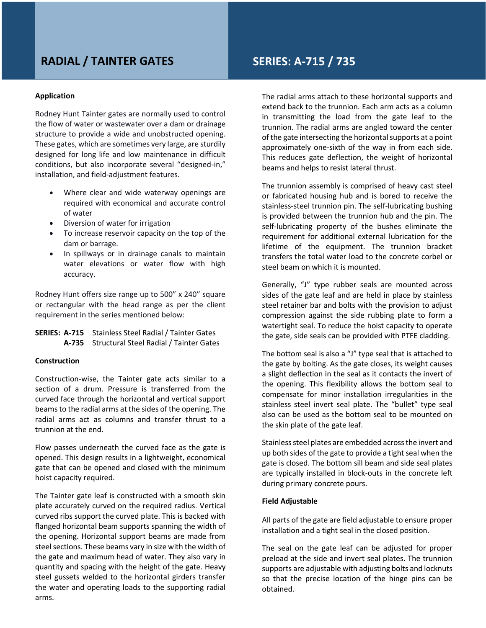# **RADIAL / TAINTER GATES SERIES: A-715 / 735**

#### **Application**

Rodney Hunt Tainter gates are normally used to control the flow of water or wastewater over a dam or drainage structure to provide a wide and unobstructed opening. These gates, which are sometimes very large, are sturdily designed for long life and low maintenance in difficult conditions, but also incorporate several "designed-in," installation, and field-adjustment features.

- Where clear and wide waterway openings are required with economical and accurate control of water
- Diversion of water for irrigation
- To increase reservoir capacity on the top of the dam or barrage.
- In spillways or in drainage canals to maintain water elevations or water flow with high accuracy.

Rodney Hunt offers size range up to 500" x 240" square or rectangular with the head range as per the client requirement in the series mentioned below:

# **SERIES: A-715** Stainless Steel Radial / Tainter Gates **A-735** Structural Steel Radial / Tainter Gates

#### **Construction**

Construction-wise, the Tainter gate acts similar to a section of a drum. Pressure is transferred from the curved face through the horizontal and vertical support beams to the radial arms at the sides of the opening. The radial arms act as columns and transfer thrust to a trunnion at the end.

Flow passes underneath the curved face as the gate is opened. This design results in a lightweight, economical gate that can be opened and closed with the minimum hoist capacity required.

The Tainter gate leaf is constructed with a smooth skin plate accurately curved on the required radius. Vertical curved ribs support the curved plate. This is backed with flanged horizontal beam supports spanning the width of the opening. Horizontal support beams are made from steel sections. These beams vary in size with the width of the gate and maximum head of water. They also vary in quantity and spacing with the height of the gate. Heavy steel gussets welded to the horizontal girders transfer the water and operating loads to the supporting radial arms.

The radial arms attach to these horizontal supports and extend back to the trunnion. Each arm acts as a column in transmitting the load from the gate leaf to the trunnion. The radial arms are angled toward the center of the gate intersecting the horizontal supports at a point approximately one-sixth of the way in from each side. This reduces gate deflection, the weight of horizontal beams and helps to resist lateral thrust.

The trunnion assembly is comprised of heavy cast steel or fabricated housing hub and is bored to receive the stainless-steel trunnion pin. The self-lubricating bushing is provided between the trunnion hub and the pin. The self-lubricating property of the bushes eliminate the requirement for additional external lubrication for the lifetime of the equipment. The trunnion bracket transfers the total water load to the concrete corbel or steel beam on which it is mounted.

Generally, "J" type rubber seals are mounted across sides of the gate leaf and are held in place by stainless steel retainer bar and bolts with the provision to adjust compression against the side rubbing plate to form a watertight seal. To reduce the hoist capacity to operate the gate, side seals can be provided with PTFE cladding.

The bottom seal is also a "J" type seal that is attached to the gate by bolting. As the gate closes, its weight causes a slight deflection in the seal as it contacts the invert of the opening. This flexibility allows the bottom seal to compensate for minor installation irregularities in the stainless steel invert seal plate. The "bullet" type seal also can be used as the bottom seal to be mounted on the skin plate of the gate leaf.

Stainless steel plates are embedded across the invert and up both sides of the gate to provide a tight seal when the gate is closed. The bottom sill beam and side seal plates are typically installed in block-outs in the concrete left during primary concrete pours.

### **Field Adjustable**

All parts of the gate are field adjustable to ensure proper installation and a tight seal in the closed position.

The seal on the gate leaf can be adjusted for proper preload at the side and invert seal plates. The trunnion supports are adjustable with adjusting bolts and locknuts so that the precise location of the hinge pins can be obtained.